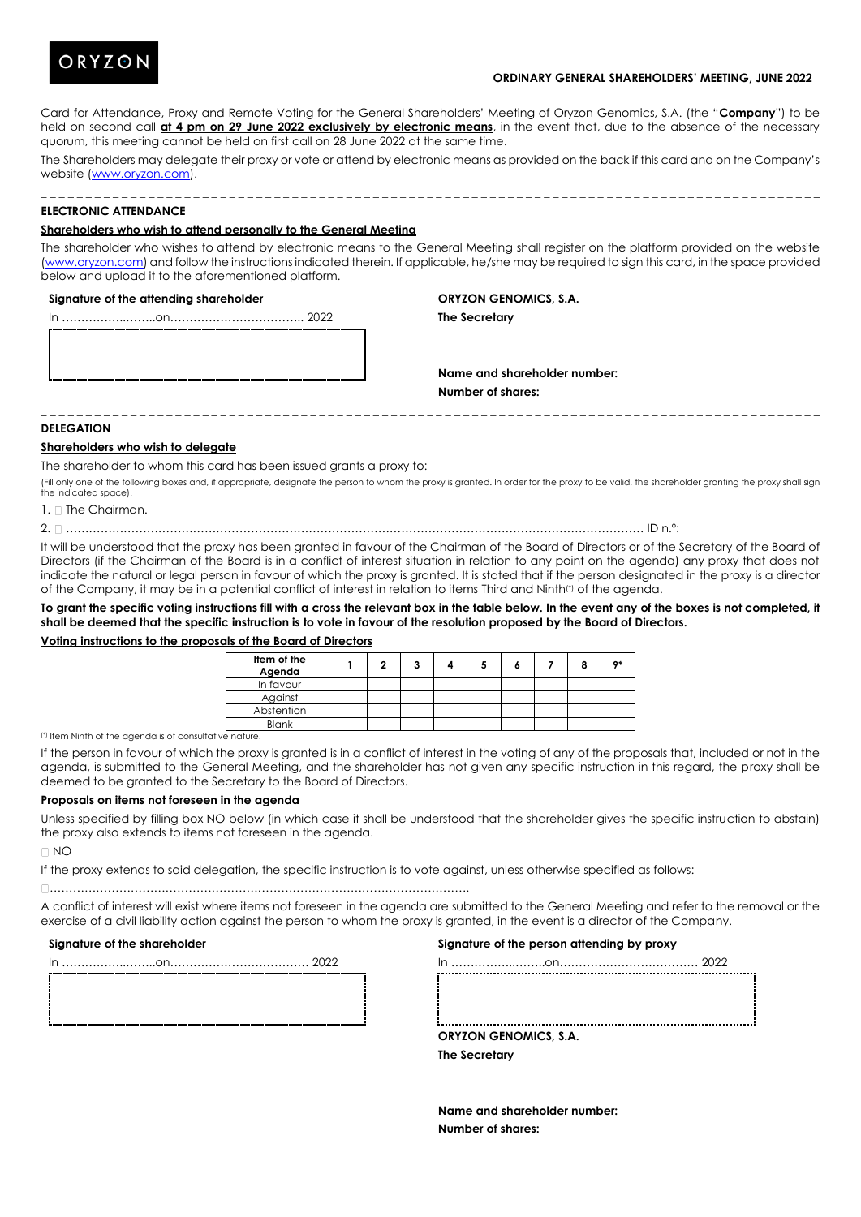

## **ORDINARY GENERAL SHAREHOLDERS' MEETING, JUNE 2022**

Card for Attendance, Proxy and Remote Voting for the General Shareholders' Meeting of Oryzon Genomics, S.A. (the "**Company**") to be held on second call **at 4 pm on 29 June 2022 exclusively by electronic means**, in the event that, due to the absence of the necessary quorum, this meeting cannot be held on first call on 28 June 2022 at the same time.

The Shareholders may delegate their proxy or vote or attend by electronic means as provided on the back if this card and on the Company's website [\(www.oryzon.com\)](http://www.oryzon.com/).

## **ELECTRONIC ATTENDANCE**

## **Shareholders who wish to attend personally to the General Meeting**

The shareholder who wishes to attend by electronic means to the General Meeting shall register on the platform provided on the website [\(www.oryzon.com\)](http://www.oryzon.com/) and follow the instructions indicated therein. If applicable, he/she may be required to sign this card, in the space provided below and upload it to the aforementioned platform.

#### **Signature of the attending shareholder**

**ORYZON GENOMICS, S.A.**

**The Secretary**

In ……………..……..on…………………………….. 2022

**Name and shareholder number: Number of shares:**

#### **DELEGATION**

## **Shareholders who wish to delegate**

The shareholder to whom this card has been issued grants a proxy to:

(Fill only one of the following boxes and, if appropriate, designate the person to whom the proxy is granted. In order for the proxy to be valid, the shareholder granting the proxy shall sign the indicated space).

\_ \_ \_ \_ \_ \_ \_ \_ \_ \_ \_ \_ \_ \_ \_ \_ \_ \_ \_ \_ \_ \_ \_ \_ \_ \_ \_ \_ \_ \_ \_ \_ \_ \_ \_ \_ \_ \_ \_ \_ \_ \_ \_ \_ \_ \_ \_ \_ \_ \_ \_ \_ \_ \_ \_ \_ \_ \_ \_ \_ \_ \_ \_ \_ \_ \_ \_ \_ \_ \_ \_ \_ \_ \_ \_ \_ \_ \_ \_ \_ \_ \_ \_ \_ \_ \_ \_

 $1 \cap$  The Chairman.

2. …………………………………………………………………………………………………………………………………… ID n.º:

It will be understood that the proxy has been granted in favour of the Chairman of the Board of Directors or of the Secretary of the Board of Directors (if the Chairman of the Board is in a conflict of interest situation in relation to any point on the agenda) any proxy that does not indicate the natural or legal person in favour of which the proxy is granted. It is stated that if the person designated in the proxy is a director of the Company, it may be in a potential conflict of interest in relation to items Third and Ninth(\*) of the agenda.

**To grant the specific voting instructions fill with a cross the relevant box in the table below. In the event any of the boxes is not completed, it shall be deemed that the specific instruction is to vote in favour of the resolution proposed by the Board of Directors.**

## **Voting instructions to the proposals of the Board of Directors**

| Item of the<br>Agenda |  |  |  |  | $0*$ |
|-----------------------|--|--|--|--|------|
| In favour             |  |  |  |  |      |
| Against               |  |  |  |  |      |
| Abstention            |  |  |  |  |      |
| <b>Blank</b>          |  |  |  |  |      |

(\*) Item Ninth of the agenda is of consultative nature.

If the person in favour of which the proxy is granted is in a conflict of interest in the voting of any of the proposals that, included or not in the agenda, is submitted to the General Meeting, and the shareholder has not given any specific instruction in this regard, the proxy shall be deemed to be granted to the Secretary to the Board of Directors.

## **Proposals on items not foreseen in the agenda**

Unless specified by filling box NO below (in which case it shall be understood that the shareholder gives the specific instruction to abstain) the proxy also extends to items not foreseen in the agenda.

 $\Box$  NO

If the proxy extends to said delegation, the specific instruction is to vote against, unless otherwise specified as follows:

#### ……………………………………………………………………………………………….

A conflict of interest will exist where items not foreseen in the agenda are submitted to the General Meeting and refer to the removal or the exercise of a civil liability action against the person to whom the proxy is granted, in the event is a director of the Company.

## **Signature of the shareholder**

In ……………..……..on……………………………… 2022

# In ……………..……..on……………………………… 2022

**Signature of the person attending by proxy**

**ORYZON GENOMICS, S.A.**

**The Secretary**

**Name and shareholder number: Number of shares:**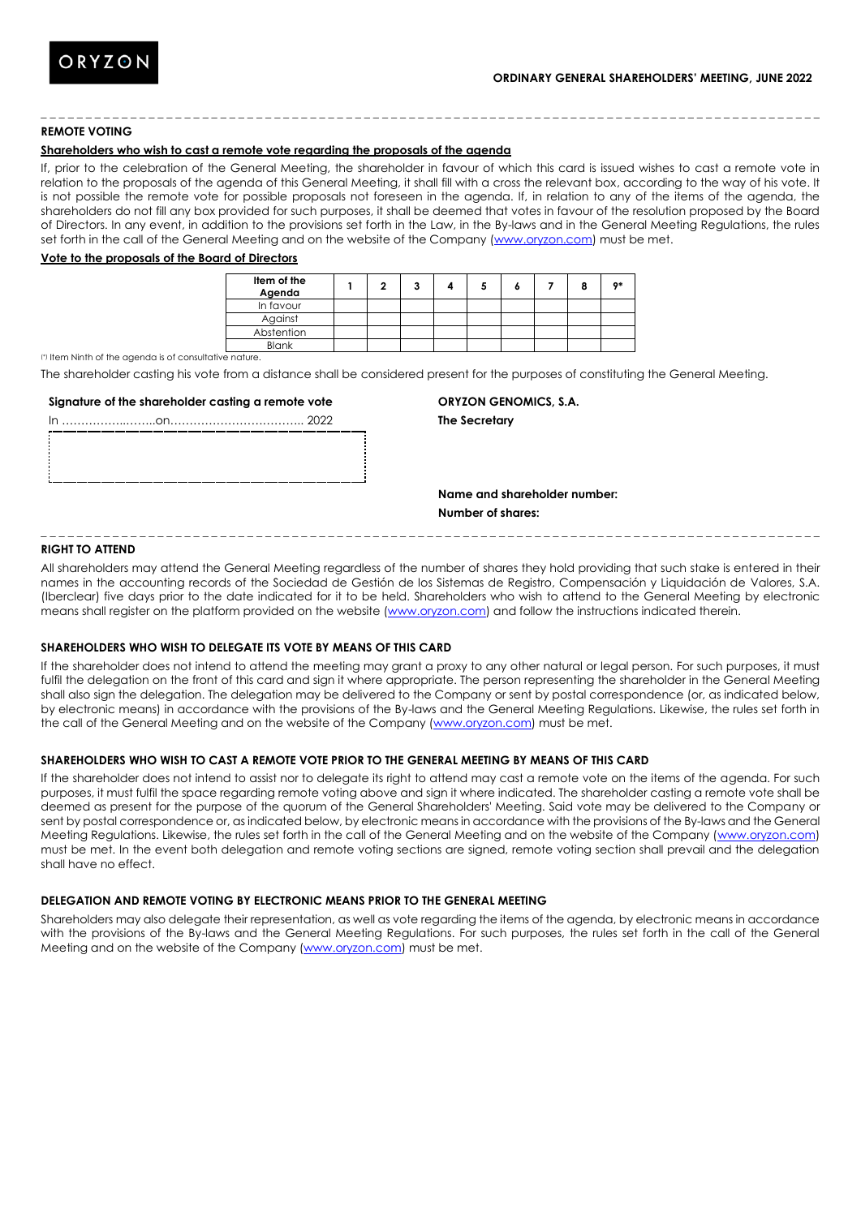## **REMOTE VOTING**

## **Shareholders who wish to cast a remote vote regarding the proposals of the agenda**

If, prior to the celebration of the General Meeting, the shareholder in favour of which this card is issued wishes to cast a remote vote in relation to the proposals of the agenda of this General Meeting, it shall fill with a cross the relevant box, according to the way of his vote. It is not possible the remote vote for possible proposals not foreseen in the agenda. If, in relation to any of the items of the agenda, the shareholders do not fill any box provided for such purposes, it shall be deemed that votes in favour of the resolution proposed by the Board of Directors. In any event, in addition to the provisions set forth in the Law, in the By-laws and in the General Meeting Regulations, the rules set forth in the call of the General Meeting and on the website of the Company [\(www.oryzon.com\)](http://www.oryzon.com/) must be met.

\_ \_ \_ \_ \_ \_ \_ \_ \_ \_ \_ \_ \_ \_ \_ \_ \_ \_ \_ \_ \_ \_ \_ \_ \_ \_ \_ \_ \_ \_ \_ \_ \_ \_ \_ \_ \_ \_ \_ \_ \_ \_ \_ \_ \_ \_ \_ \_ \_ \_ \_ \_ \_ \_ \_ \_ \_ \_ \_ \_ \_ \_ \_ \_ \_ \_ \_ \_ \_ \_ \_ \_ \_ \_ \_ \_ \_ \_ \_ \_ \_ \_ \_ \_ \_ \_ \_

#### **Vote to the proposals of the Board of Directors**

| Item of the<br>Agenda |  |  |  |  | $^{\bullet*}$ |
|-----------------------|--|--|--|--|---------------|
| In favour             |  |  |  |  |               |
| Against               |  |  |  |  |               |
| Abstention            |  |  |  |  |               |
| Blank                 |  |  |  |  |               |

(\*) Item Ninth of the agenda is of consultative nature.

The shareholder casting his vote from a distance shall be considered present for the purposes of constituting the General Meeting.

#### **Signature of the shareholder casting a remote vote**

# **ORYZON GENOMICS, S.A.**

**The Secretary**

**Name and shareholder number: Number of shares:**

## **RIGHT TO ATTEND**

All shareholders may attend the General Meeting regardless of the number of shares they hold providing that such stake is entered in their names in the accounting records of the Sociedad de Gestión de los Sistemas de Registro, Compensación y Liquidación de Valores, S.A. (Iberclear) five days prior to the date indicated for it to be held. Shareholders who wish to attend to the General Meeting by electronic means shall register on the platform provided on the website [\(www.oryzon.com\)](http://www.oryzon.com/) and follow the instructions indicated therein.

\_ \_ \_ \_ \_ \_ \_ \_ \_ \_ \_ \_ \_ \_ \_ \_ \_ \_ \_ \_ \_ \_ \_ \_ \_ \_ \_ \_ \_ \_ \_ \_ \_ \_ \_ \_ \_ \_ \_ \_ \_ \_ \_ \_ \_ \_ \_ \_ \_ \_ \_ \_ \_ \_ \_ \_ \_ \_ \_ \_ \_ \_ \_ \_ \_ \_ \_ \_ \_ \_ \_ \_ \_ \_ \_ \_ \_ \_ \_ \_ \_ \_ \_ \_ \_ \_ \_

## **SHAREHOLDERS WHO WISH TO DELEGATE ITS VOTE BY MEANS OF THIS CARD**

If the shareholder does not intend to attend the meeting may grant a proxy to any other natural or legal person. For such purposes, it must fulfil the delegation on the front of this card and sign it where appropriate. The person representing the shareholder in the General Meeting shall also sign the delegation. The delegation may be delivered to the Company or sent by postal correspondence (or, as indicated below, by electronic means) in accordance with the provisions of the By-laws and the General Meeting Regulations. Likewise, the rules set forth in the call of the General Meeting and on the website of the Company [\(www.oryzon.com\)](http://www.oryzon.com/) must be met.

# **SHAREHOLDERS WHO WISH TO CAST A REMOTE VOTE PRIOR TO THE GENERAL MEETING BY MEANS OF THIS CARD**

If the shareholder does not intend to assist nor to delegate its right to attend may cast a remote vote on the items of the agenda. For such purposes, it must fulfil the space regarding remote voting above and sign it where indicated. The shareholder casting a remote vote shall be deemed as present for the purpose of the quorum of the General Shareholders' Meeting. Said vote may be delivered to the Company or sent by postal correspondence or, as indicated below, by electronic means in accordance with the provisions of the By-laws and the General Meeting Regulations. Likewise, the rules set forth in the call of the General Meeting and on the website of the Company [\(www.oryzon.com\)](http://www.oryzon.com/) must be met. In the event both delegation and remote voting sections are signed, remote voting section shall prevail and the delegation shall have no effect.

## **DELEGATION AND REMOTE VOTING BY ELECTRONIC MEANS PRIOR TO THE GENERAL MEETING**

Shareholders may also delegate their representation, as well as vote regarding the items of the agenda, by electronic means in accordance with the provisions of the By-laws and the General Meeting Regulations. For such purposes, the rules set forth in the call of the General Meeting and on the website of the Company [\(www.oryzon.com\)](http://www.oryzon.com/) must be met.